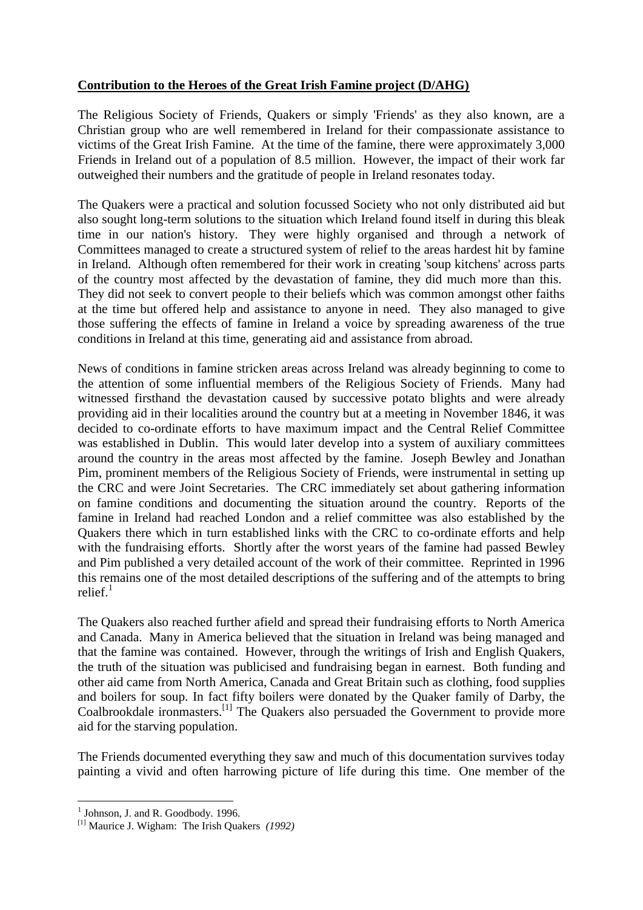## **Contribution to the Heroes of the Great Irish Famine project (D/AHG)**

The Religious Society of Friends, Quakers or simply 'Friends' as they also known, are a Christian group who are well remembered in Ireland for their compassionate assistance to victims of the Great Irish Famine. At the time of the famine, there were approximately 3,000 Friends in Ireland out of a population of 8.5 million. However, the impact of their work far outweighed their numbers and the gratitude of people in Ireland resonates today.

The Quakers were a practical and solution focussed Society who not only distributed aid but also sought long-term solutions to the situation which Ireland found itself in during this bleak time in our nation's history. They were highly organised and through a network of Committees managed to create a structured system of relief to the areas hardest hit by famine in Ireland. Although often remembered for their work in creating 'soup kitchens' across parts of the country most affected by the devastation of famine, they did much more than this. They did not seek to convert people to their beliefs which was common amongst other faiths at the time but offered help and assistance to anyone in need. They also managed to give those suffering the effects of famine in Ireland a voice by spreading awareness of the true conditions in Ireland at this time, generating aid and assistance from abroad.

News of conditions in famine stricken areas across Ireland was already beginning to come to the attention of some influential members of the Religious Society of Friends. Many had witnessed firsthand the devastation caused by successive potato blights and were already providing aid in their localities around the country but at a meeting in November 1846, it was decided to co-ordinate efforts to have maximum impact and the Central Relief Committee was established in Dublin. This would later develop into a system of auxiliary committees around the country in the areas most affected by the famine. Joseph Bewley and Jonathan Pim, prominent members of the Religious Society of Friends, were instrumental in setting up the CRC and were Joint Secretaries. The CRC immediately set about gathering information on famine conditions and documenting the situation around the country. Reports of the famine in Ireland had reached London and a relief committee was also established by the Quakers there which in turn established links with the CRC to co-ordinate efforts and help with the fundraising efforts. Shortly after the worst years of the famine had passed Bewley and Pim published a very detailed account of the work of their committee. Reprinted in 1996 this remains one of the most detailed descriptions of the suffering and of the attempts to bring relief $1$ 

The Quakers also reached further afield and spread their fundraising efforts to North America and Canada. Many in America believed that the situation in Ireland was being managed and that the famine was contained. However, through the writings of Irish and English Quakers, the truth of the situation was publicised and fundraising began in earnest. Both funding and other aid came from North America, Canada and Great Britain such as clothing, food supplies and boilers for soup. In fact fifty boilers were donated by the Quaker family of Darby, the Coalbrookdale ironmasters.<sup>[1]</sup> The Quakers also persuaded the Government to provide more aid for the starving population.

The Friends documented everything they saw and much of this documentation survives today painting a vivid and often harrowing picture of life during this time. One member of the

<u>.</u>

<sup>&</sup>lt;sup>1</sup> Johnson, J. and R. Goodbody. 1996.

<sup>[1]</sup> Maurice J. Wigham: The Irish Quakers *(1992)*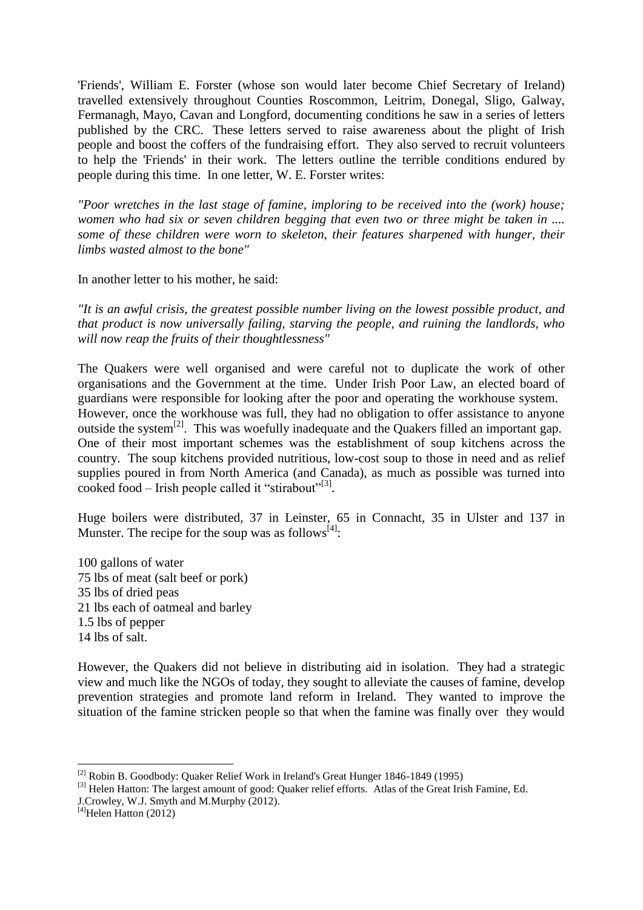'Friends', William E. Forster (whose son would later become Chief Secretary of Ireland) travelled extensively throughout Counties Roscommon, Leitrim, Donegal, Sligo, Galway, Fermanagh, Mayo, Cavan and Longford, documenting conditions he saw in a series of letters published by the CRC. These letters served to raise awareness about the plight of Irish people and boost the coffers of the fundraising effort. They also served to recruit volunteers to help the 'Friends' in their work. The letters outline the terrible conditions endured by people during this time. In one letter, W. E. Forster writes:

*"Poor wretches in the last stage of famine, imploring to be received into the (work) house; women who had six or seven children begging that even two or three might be taken in .... some of these children were worn to skeleton, their features sharpened with hunger, their limbs wasted almost to the bone"*

In another letter to his mother, he said:

*"It is an awful crisis, the greatest possible number living on the lowest possible product, and that product is now universally failing, starving the people, and ruining the landlords, who will now reap the fruits of their thoughtlessness"*

The Quakers were well organised and were careful not to duplicate the work of other organisations and the Government at the time. Under Irish Poor Law, an elected board of guardians were responsible for looking after the poor and operating the workhouse system. However, once the workhouse was full, they had no obligation to offer assistance to anyone outside the system<sup>[2]</sup>. This was woefully inadequate and the Quakers filled an important gap. One of their most important schemes was the establishment of soup kitchens across the country. The soup kitchens provided nutritious, low-cost soup to those in need and as relief supplies poured in from North America (and Canada), as much as possible was turned into cooked food – Irish people called it "stirabout"<sup>[3]</sup>.

Huge boilers were distributed, 37 in Leinster, 65 in Connacht, 35 in Ulster and 137 in Munster. The recipe for the soup was as follows  $[4]$ :

100 gallons of water lbs of meat (salt beef or pork) lbs of dried peas lbs each of oatmeal and barley 1.5 lbs of pepper lbs of salt.

However, the Quakers did not believe in distributing aid in isolation. They had a strategic view and much like the NGOs of today, they sought to alleviate the causes of famine, develop prevention strategies and promote land reform in Ireland. They wanted to improve the situation of the famine stricken people so that when the famine was finally over they would

<u>.</u>

<sup>&</sup>lt;sup>[2]</sup> Robin B. Goodbody: Quaker Relief Work in Ireland's Great Hunger 1846-1849 (1995)

<sup>&</sup>lt;sup>[3]</sup> Helen Hatton: The largest amount of good: Quaker relief efforts. Atlas of the Great Irish Famine, Ed.

J.Crowley, W.J. Smyth and M.Murphy (2012).

 $[4]$ Helen Hatton (2012)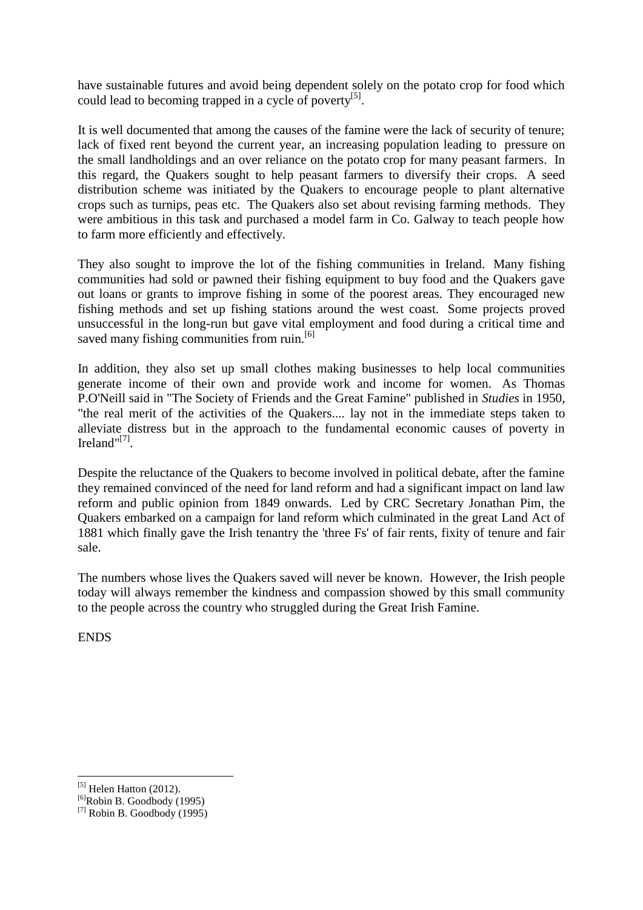have sustainable futures and avoid being dependent solely on the potato crop for food which could lead to becoming trapped in a cycle of poverty<sup>[5]</sup>.

It is well documented that among the causes of the famine were the lack of security of tenure; lack of fixed rent beyond the current year, an increasing population leading to pressure on the small landholdings and an over reliance on the potato crop for many peasant farmers. In this regard, the Quakers sought to help peasant farmers to diversify their crops. A seed distribution scheme was initiated by the Quakers to encourage people to plant alternative crops such as turnips, peas etc. The Quakers also set about revising farming methods. They were ambitious in this task and purchased a model farm in Co. Galway to teach people how to farm more efficiently and effectively.

They also sought to improve the lot of the fishing communities in Ireland. Many fishing communities had sold or pawned their fishing equipment to buy food and the Quakers gave out loans or grants to improve fishing in some of the poorest areas. They encouraged new fishing methods and set up fishing stations around the west coast. Some projects proved unsuccessful in the long-run but gave vital employment and food during a critical time and saved many fishing communities from ruin.<sup>[6]</sup>

In addition, they also set up small clothes making businesses to help local communities generate income of their own and provide work and income for women. As Thomas P.O'Neill said in "The Society of Friends and the Great Famine" published in *Studies* in 1950, "the real merit of the activities of the Quakers.... lay not in the immediate steps taken to alleviate distress but in the approach to the fundamental economic causes of poverty in Ireland"<sup>[7]</sup>.

Despite the reluctance of the Quakers to become involved in political debate, after the famine they remained convinced of the need for land reform and had a significant impact on land law reform and public opinion from 1849 onwards. Led by CRC Secretary Jonathan Pim, the Quakers embarked on a campaign for land reform which culminated in the great Land Act of 1881 which finally gave the Irish tenantry the 'three Fs' of fair rents, fixity of tenure and fair sale.

The numbers whose lives the Quakers saved will never be known. However, the Irish people today will always remember the kindness and compassion showed by this small community to the people across the country who struggled during the Great Irish Famine.

**ENDS** 

1

 $^{[5]}$  Helen Hatton (2012).

 $^{[6]}$ Robin B. Goodbody (1995)

 $^{[7]}$  Robin B. Goodbody (1995)